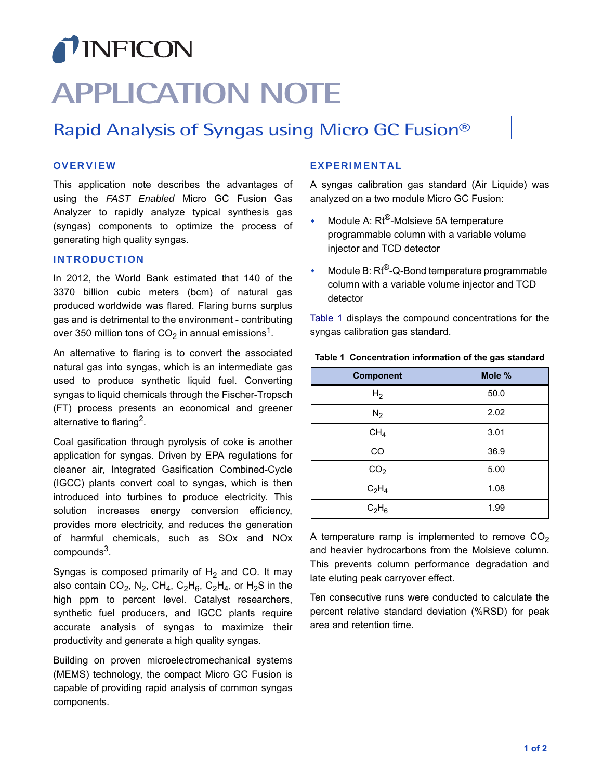## TINFICON

# **APPLICATION NOTE**

### <span id="page-0-1"></span>Rapid Analysis of Syngas using Micro GC Fusion®

#### **OVERVIEW**

This application note describes the advantages of using the *FAST Enabled* Micro GC Fusion Gas Analyzer to rapidly analyze typical synthesis gas (syngas) components to optimize the process of generating high quality syngas.

#### INTRODUCTION

In 2012, the World Bank estimated that 140 of the 3370 billion cubic meters (bcm) of natural gas produced worldwide was flared. Flaring burns surplus gas and is detrimental to the environment - contributing over 350 million tons of  $CO<sub>2</sub>$  in annual emissions<sup>1</sup>.

An alternative to flaring is to convert the associated natural gas into syngas, which is an intermediate gas used to produce synthetic liquid fuel. Converting syngas to liquid chemicals through the Fischer-Tropsch (FT) process presents an economical and greener alternative to flaring<sup>2</sup>.

Coal gasification through pyrolysis of coke is another application for syngas. Driven by EPA regulations for cleaner air, Integrated Gasification Combined-Cycle (IGCC) plants convert coal to syngas, which is then introduced into turbines to produce electricity. This solution increases energy conversion efficiency, provides more electricity, and reduces the generation of harmful chemicals, such as SOx and NOx  $compounds<sup>3</sup>$ .

Syngas is composed primarily of  $H_2$  and CO. It may also contain  $CO_2$ , N<sub>2</sub>, CH<sub>4</sub>, C<sub>2</sub>H<sub>6</sub>, C<sub>2</sub>H<sub>4</sub>, or H<sub>2</sub>S in the high ppm to percent level. Catalyst researchers, synthetic fuel producers, and IGCC plants require accurate analysis of syngas to maximize their productivity and generate a high quality syngas.

Building on proven microelectromechanical systems (MEMS) technology, the compact Micro GC Fusion is capable of providing rapid analysis of common syngas components.

#### EXPERIMENTAL

A syngas calibration gas standard (Air Liquide) was analyzed on a two module Micro GC Fusion:

- Module A: Rt®-Molsieve 5A temperature programmable column with a variable volume injector and TCD detector
- Module B: Rt®-Q-Bond temperature programmable column with a variable volume injector and TCD detector

[Table 1](#page-0-0) displays the compound concentrations for the syngas calibration gas standard.

| <b>Component</b> | Mole % |
|------------------|--------|
| H <sub>2</sub>   | 50.0   |
| $N_2$            | 2.02   |
| CH <sub>4</sub>  | 3.01   |
| CO               | 36.9   |
| CO <sub>2</sub>  | 5.00   |
| $C_2H_4$         | 1.08   |
| $C_2H_6$         | 1.99   |

#### <span id="page-0-0"></span>**Table 1 Concentration information of the gas standard**

A temperature ramp is implemented to remove  $CO<sub>2</sub>$ and heavier hydrocarbons from the Molsieve column. This prevents column performance degradation and late eluting peak carryover effect.

Ten consecutive runs were conducted to calculate the percent relative standard deviation (%RSD) for peak area and retention time.